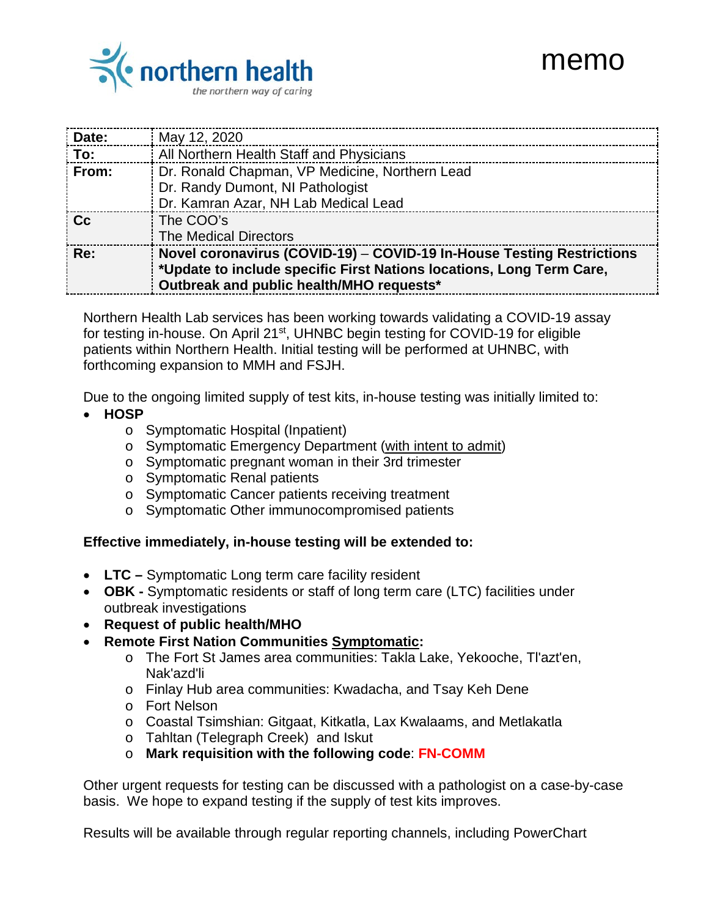# memo



| Date:                        | May 12, 2020                                                                                                                                                                              |
|------------------------------|-------------------------------------------------------------------------------------------------------------------------------------------------------------------------------------------|
| $\overline{\phantom{a}}$ To: | All Northern Health Staff and Physicians                                                                                                                                                  |
| $:$ From:                    | Dr. Ronald Chapman, VP Medicine, Northern Lead                                                                                                                                            |
|                              | Dr. Randy Dumont, NI Pathologist                                                                                                                                                          |
|                              | Dr. Kamran Azar, NH Lab Medical Lead                                                                                                                                                      |
| ∣ Cc                         | The COO's                                                                                                                                                                                 |
|                              | <b>The Medical Directors</b>                                                                                                                                                              |
| i Re:                        | Novel coronavirus (COVID-19) - COVID-19 In-House Testing Restrictions<br>*Update to include specific First Nations locations, Long Term Care,<br>Outbreak and public health/MHO requests* |

Northern Health Lab services has been working towards validating a COVID-19 assay for testing in-house. On April 21<sup>st</sup>, UHNBC begin testing for COVID-19 for eligible patients within Northern Health. Initial testing will be performed at UHNBC, with forthcoming expansion to MMH and FSJH.

Due to the ongoing limited supply of test kits, in-house testing was initially limited to:

- **HOSP**
	- o Symptomatic Hospital (Inpatient)
	- o Symptomatic Emergency Department (with intent to admit)
	- o Symptomatic pregnant woman in their 3rd trimester
	- o Symptomatic Renal patients
	- o Symptomatic Cancer patients receiving treatment
	- o Symptomatic Other immunocompromised patients

#### **Effective immediately, in-house testing will be extended to:**

- **LTC –** Symptomatic Long term care facility resident
- **OBK -** Symptomatic residents or staff of long term care (LTC) facilities under outbreak investigations
- **Request of public health/MHO**
- **Remote First Nation Communities Symptomatic:**
	- o The Fort St James area communities: Takla Lake, Yekooche, Tl'azt'en, Nak'azd'li
	- o Finlay Hub area communities: Kwadacha, and Tsay Keh Dene
	- o Fort Nelson
	- o Coastal Tsimshian: Gitgaat, Kitkatla, Lax Kwalaams, and Metlakatla
	- o Tahltan (Telegraph Creek) and Iskut
	- o **Mark requisition with the following code**: **FN-COMM**

Other urgent requests for testing can be discussed with a pathologist on a case-by-case basis. We hope to expand testing if the supply of test kits improves.

Results will be available through regular reporting channels, including PowerChart